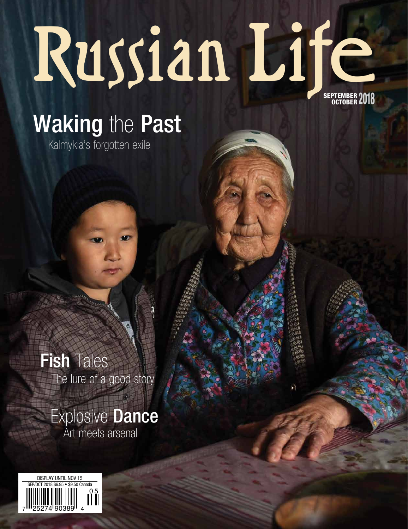# SEPTEMBER OCTOBER **ZU 10** Russian Life

## Waking the Past

Kalmykia's forgotten exile

Fish Tales The lure of a good story

Explosive **Dance** Art meets arsenal

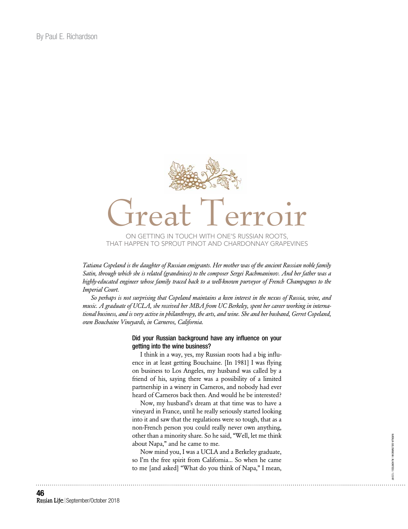

*Tatiana Copeland is the daughter of Russian emigrants. Her mother was of the ancient Russian noble family Satin, through which she is related (grandniece) to the composer Sergei Rachmaninov. And her father was a highly-educated engineer whose family traced back to a well-known purveyor of French Champagnes to the Imperial Court.* 

*So perhaps is not surprising that Copeland maintains a keen interest in the nexus of Russia, wine, and music. A graduate of UCLA, she received her MBA from UC Berkeley, spent her career working in international business, and is very active in philanthropy, the arts, and wine. She and her husband, Gerret Copeland, own Bouchaine Vineyards, in Carneros, California.* 

#### Did your Russian background have any influence on your getting into the wine business?

I think in a way, yes, my Russian roots had a big influence in at least getting Bouchaine. [In 1981] I was flying on business to Los Angeles, my husband was called by a friend of his, saying there was a possibility of a limited partnership in a winery in Carneros, and nobody had ever heard of Carneros back then. And would he be interested?

Now, my husband's dream at that time was to have a vineyard in France, until he really seriously started looking into it and saw that the regulations were so tough, that as a non-French person you could really never own anything, other than a minority share. So he said, "Well, let me think about Napa," and he came to me.

Now mind you, I was a UCLA and a Berkeley graduate, so I'm the free spirit from California... So when he came to me [and asked] "What do you think of Napa," I mean,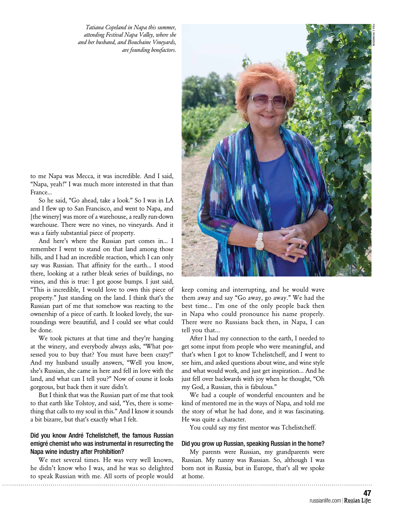*Tatiana Copeland in Napa this summer, attending Festival Napa Valley, where she and her husband, and Bouchaine Vineyards, are founding benefactors.*



to me Napa was Mecca, it was incredible. And I said, "Napa, yeah!" I was much more interested in that than France...

So he said, "Go ahead, take a look." So I was in LA and I flew up to San Francisco, and went to Napa, and [the winery] was more of a warehouse, a really run-down warehouse. There were no vines, no vineyards. And it was a fairly substantial piece of property.

And here's where the Russian part comes in... I remember I went to stand on that land among those hills, and I had an incredible reaction, which I can only say was Russian. That affinity for the earth... I stood there, looking at a rather bleak series of buildings, no vines, and this is true: I got goose bumps. I just said, "This is incredible, I would love to own this piece of property." Just standing on the land. I think that's the Russian part of me that somehow was reacting to the ownership of a piece of earth. It looked lovely, the surroundings were beautiful, and I could see what could be done.

We took pictures at that time and they're hanging at the winery, and everybody always asks, "What possessed you to buy that? You must have been crazy!" And my husband usually answers, "Well you know, she's Russian, she came in here and fell in love with the land, and what can I tell you?" Now of course it looks gorgeous, but back then it sure didn't.

But I think that was the Russian part of me that took to that earth like Tolstoy, and said, "Yes, there is something that calls to my soul in this." And I know it sounds a bit bizarre, but that's exactly what I felt.

#### Did you know André Tchelistcheff, the famous Russian emigré chemist who was instrumental in resurrecting the Napa wine industry after Prohibition?

We met several times. He was very well known, he didn't know who I was, and he was so delighted to speak Russian with me. All sorts of people would keep coming and interrupting, and he would wave them away and say "Go away, go away." We had the best time... I'm one of the only people back then in Napa who could pronounce his name properly. There were no Russians back then, in Napa, I can tell you that...

After I had my connection to the earth, I needed to get some input from people who were meaningful, and that's when I got to know Tchelistcheff, and I went to see him, and asked questions about wine, and wine style and what would work, and just get inspiration... And he just fell over backwards with joy when he thought, "Oh my God, a Russian, this is fabulous."

We had a couple of wonderful encounters and he kind of mentored me in the ways of Napa, and told me the story of what he had done, and it was fascinating. He was quite a character.

You could say my first mentor was Tchelistcheff.

#### Did you grow up Russian, speaking Russian in the home?

My parents were Russian, my grandparents were Russian. My nanny was Russian. So, although I was born not in Russia, but in Europe, that's all we spoke at home.

> **47** russianlife.com | Russian Life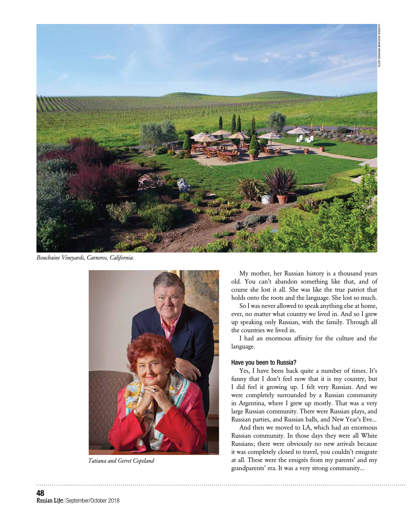

*Bouchaine Vineyards, Carneros, California.*



*Tatiana and Gerret Copeland*

My mother, her Russian history is a thousand years old. You can't abandon something like that, and of course she lost it all. She was like the true patriot that holds onto the roots and the language. She lost so much.

So I was never allowed to speak anything else at home, ever, no matter what country we lived in. And so I grew up speaking only Russian, with the family. Through all the countries we lived in.

I had an enormous affinity for the culture and the language.

#### Have you been to Russia?

Yes, I have been back quite a number of times. It's funny that I don't feel now that it is my country, but I did feel it growing up. I felt very Russian. And we were completely surrounded by a Russian community in Argentina, where I grew up mostly. That was a very large Russian community. There were Russian plays, and Russian parties, and Russian balls, and New Year's Eve...

And then we moved to LA, which had an enormous Russian community. In those days they were all White Russians; there were obviously no new arrivals because it was completely closed to travel, you couldn't emigrate at all. These were the emigrés from my parents' and my grandparents' era. It was a very strong community...